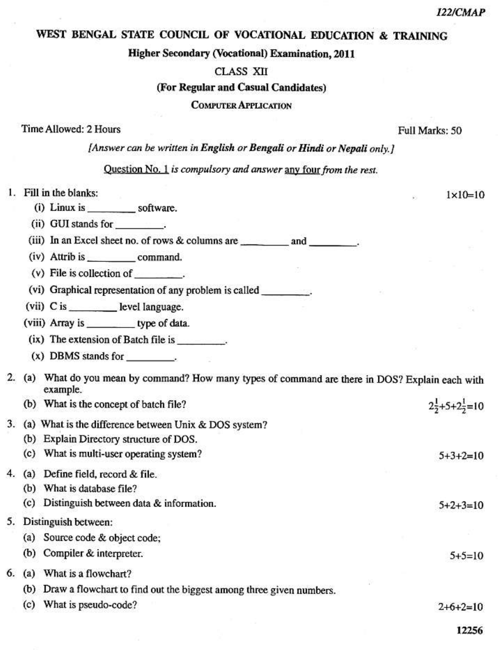$1 \times 10 = 10$ 

# WEST BENGAL STATE COUNCIL OF VOCATIONAL EDUCATION & TRAINING

#### **Higher Secondary (Vocational) Examination, 2011**

### **CLASS XII**

#### (For Regular and Casual Candidates)

### **COMPUTER APPLICATION**

### Time Allowed: 2 Hours

#### Full Marks: 50

[Answer can be written in English or Bengali or Hindi or Nepali only.]

## Question No. 1 is compulsory and answer any four from the rest.

## 1. Fill in the blanks:

- 
- 

- (iv) Attrib is command.
- $(v)$  File is collection of  $\qquad \qquad$ .

(vi) Graphical representation of any problem is called \_\_\_\_\_\_\_\_\_\_.

(vii) C is \_\_\_\_\_\_\_\_\_\_\_\_\_ level language.

(viii) Array is \_\_\_\_\_\_\_\_\_\_\_ type of data.

- (ix) The extension of Batch file is ...
- $(x)$  DBMS stands for  $\qquad \qquad$ .
- 2. (a) What do you mean by command? How many types of command are there in DOS? Explain each with example.
- (b) What is the concept of batch file?
	- 3. (a) What is the difference between Unix & DOS system?
		- (b) Explain Directory structure of DOS.
		- (c) What is multi-user operating system?  $5+3+2=10$

## 4. (a) Define field, record & file.

- (b) What is database file?
- (c) Distinguish between data & information.

## 5. Distinguish between:

- (a) Source code & object code;
	- (b) Compiler & interpreter.
- 6. (a) What is a flowchart?
	- (b) Draw a flowchart to find out the biggest among three given numbers.
	- (c) What is pseudo-code?

 $2+6+2=10$ 

 $5+2+3=10$ 

 $5+5=10$ 

 $2\frac{1}{2}+5+2\frac{1}{2}=10$ 

12256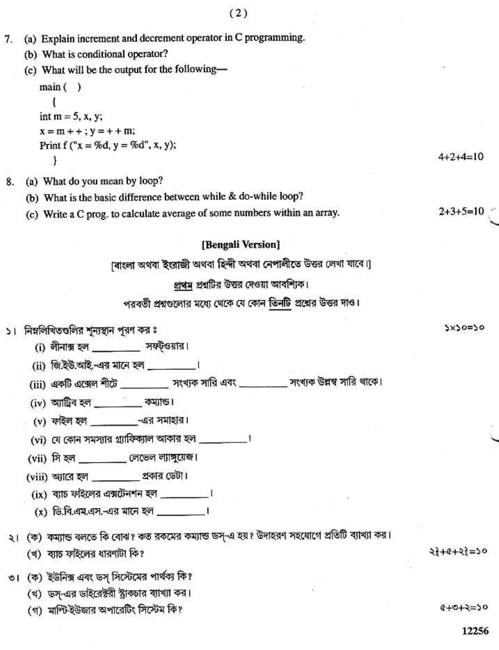| 7. | (a) Explain increment and decrement operator in C programming.                               |                    |
|----|----------------------------------------------------------------------------------------------|--------------------|
|    | (b) What is conditional operator?                                                            |                    |
|    | (c) What will be the output for the following-                                               |                    |
|    | main()                                                                                       |                    |
|    |                                                                                              |                    |
|    | int $m = 5$ , x, y;                                                                          |                    |
|    | $x = m + +$ ; $y = + + m$ ;                                                                  |                    |
|    | Print f ("x = %d, y = %d", x, y);<br>ł                                                       | $4 + 2 + 4 = 10$   |
|    |                                                                                              |                    |
| 8. | (a) What do you mean by loop?                                                                |                    |
|    | (b) What is the basic difference between while & do-while loop?                              |                    |
|    | (c) Write a C prog. to calculate average of some numbers within an array.                    | $2+3+5=10$         |
|    | [Bengali Version]                                                                            |                    |
|    | [বাংলা অথবা ইংরাজী অথবা হিন্দী অথবা নেপালীতে উত্তর লেখা যাবে।]                               |                    |
|    | প্রথম প্রশ্নটির উত্তর দেওয়া আবশ্যিক।                                                        |                    |
|    | পরবর্তী প্রশ্নগুলোর মধ্যে থেকে যে কোন তিনটি প্রশ্নের উত্তর দাও।                              |                    |
|    | ১। নিম্নলিখিতগুলির শূন্যস্থান পূরণ কর ঃ                                                      | 2x20=20            |
|    | (i) লীনাক্স হল __________ সফট্ওয়ার।                                                         |                    |
|    | (ii) জি.ইউ.আই.-এর মানে হল __________।                                                        |                    |
|    | (iii) একটি এক্সেল শীটে __________ সংখ্যক সারি এবং __________ সংখ্যক উল্লম্ব সারি থাকে।       |                    |
|    |                                                                                              |                    |
|    | $(iv)$ আট্ৰিব হল ___________ কম্যান্ড ৷                                                      |                    |
|    | (v) ফাইল হল __________________-এর সমাহার।                                                    |                    |
|    | (vi) যে কোন সমস্যার গ্র্যাফিক্যাল আকার হল __________।                                        |                    |
|    | (vii) সি হল<br>্রেভেল ল্যাঙ্গুয়েজ।                                                          |                    |
|    | (viii) অ্যারে হল _________ প্রকার ডেটা।                                                      |                    |
|    | $(ix)$ ব্যাচ ফাইলের এক্সটেনশন হল $\frac{1}{x}$                                               |                    |
|    | (x) ডি.বি.এম.এস.-এর মানে হল ________।                                                        |                    |
|    | ২। (ক) কম্যান্ড বলতে কি বোঝ? কত রকমের কম্যান্ড ডস্-এ হয়? উদাহরণ সহযোগে প্রতিটি ব্যাখ্যা কর। |                    |
|    | (খ) ব্যাচ ফাইলের ধারণাটা কি?                                                                 | $23 + 6 + 25 = 50$ |
|    | ৩। (ক) ইউনিক্স এবং ডস্ সিস্টেমের পার্থক্য কি?                                                |                    |
|    | (খ) ডস্-এর ডাইরেক্টরী স্ট্রাকচার ব্যাখ্যা কর।                                                |                    |
|    | (গ) মাল্টিইউজার অপারেটিং সিস্টেম কি?                                                         | $6+0+5=0$          |
|    |                                                                                              | 12256              |